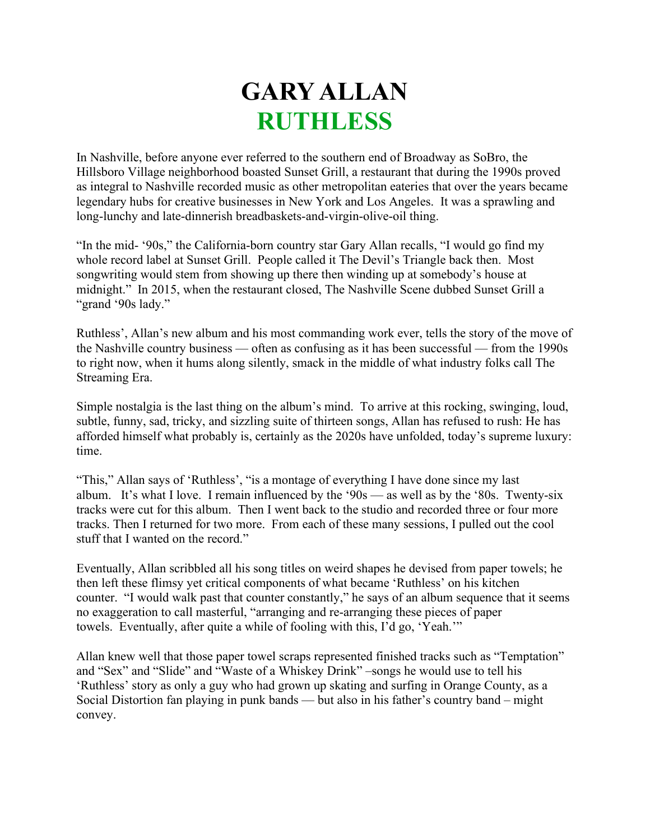## **GARY ALLAN RUTHLESS**

In Nashville, before anyone ever referred to the southern end of Broadway as SoBro, the Hillsboro Village neighborhood boasted Sunset Grill, a restaurant that during the 1990s proved as integral to Nashville recorded music as other metropolitan eateries that over the years became legendary hubs for creative businesses in New York and Los Angeles. It was a sprawling and long-lunchy and late-dinnerish breadbaskets-and-virgin-olive-oil thing.

"In the mid- '90s," the California-born country star Gary Allan recalls, "I would go find my whole record label at Sunset Grill. People called it The Devil's Triangle back then. Most songwriting would stem from showing up there then winding up at somebody's house at midnight." In 2015, when the restaurant closed, The Nashville Scene dubbed Sunset Grill a "grand '90s lady."

Ruthless', Allan's new album and his most commanding work ever, tells the story of the move of the Nashville country business — often as confusing as it has been successful — from the 1990s to right now, when it hums along silently, smack in the middle of what industry folks call The Streaming Era.

Simple nostalgia is the last thing on the album's mind. To arrive at this rocking, swinging, loud, subtle, funny, sad, tricky, and sizzling suite of thirteen songs, Allan has refused to rush: He has afforded himself what probably is, certainly as the 2020s have unfolded, today's supreme luxury: time.

"This," Allan says of 'Ruthless', "is a montage of everything I have done since my last album. It's what I love. I remain influenced by the '90s — as well as by the '80s. Twenty-six tracks were cut for this album. Then I went back to the studio and recorded three or four more tracks. Then I returned for two more. From each of these many sessions, I pulled out the cool stuff that I wanted on the record."

Eventually, Allan scribbled all his song titles on weird shapes he devised from paper towels; he then left these flimsy yet critical components of what became 'Ruthless' on his kitchen counter. "I would walk past that counter constantly," he says of an album sequence that it seems no exaggeration to call masterful, "arranging and re-arranging these pieces of paper towels. Eventually, after quite a while of fooling with this, I'd go, 'Yeah.'"

Allan knew well that those paper towel scraps represented finished tracks such as "Temptation" and "Sex" and "Slide" and "Waste of a Whiskey Drink" –songs he would use to tell his 'Ruthless' story as only a guy who had grown up skating and surfing in Orange County, as a Social Distortion fan playing in punk bands — but also in his father's country band – might convey.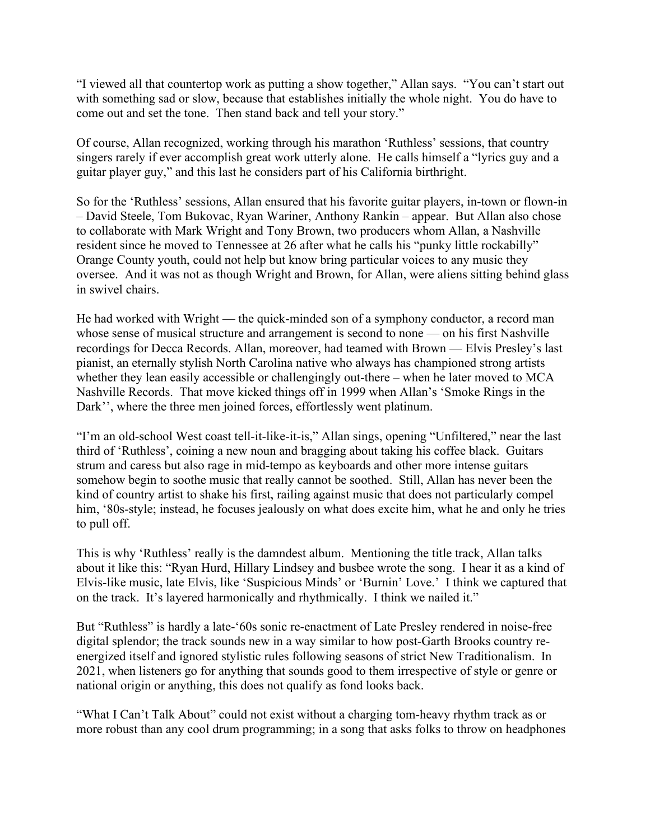"I viewed all that countertop work as putting a show together," Allan says. "You can't start out with something sad or slow, because that establishes initially the whole night. You do have to come out and set the tone. Then stand back and tell your story."

Of course, Allan recognized, working through his marathon 'Ruthless' sessions, that country singers rarely if ever accomplish great work utterly alone. He calls himself a "lyrics guy and a guitar player guy," and this last he considers part of his California birthright.

So for the 'Ruthless' sessions, Allan ensured that his favorite guitar players, in-town or flown-in – David Steele, Tom Bukovac, Ryan Wariner, Anthony Rankin – appear. But Allan also chose to collaborate with Mark Wright and Tony Brown, two producers whom Allan, a Nashville resident since he moved to Tennessee at 26 after what he calls his "punky little rockabilly" Orange County youth, could not help but know bring particular voices to any music they oversee. And it was not as though Wright and Brown, for Allan, were aliens sitting behind glass in swivel chairs.

He had worked with Wright — the quick-minded son of a symphony conductor, a record man whose sense of musical structure and arrangement is second to none — on his first Nashville recordings for Decca Records. Allan, moreover, had teamed with Brown — Elvis Presley's last pianist, an eternally stylish North Carolina native who always has championed strong artists whether they lean easily accessible or challengingly out-there – when he later moved to MCA Nashville Records. That move kicked things off in 1999 when Allan's 'Smoke Rings in the Dark'', where the three men joined forces, effortlessly went platinum.

"I'm an old-school West coast tell-it-like-it-is," Allan sings, opening "Unfiltered," near the last third of 'Ruthless', coining a new noun and bragging about taking his coffee black. Guitars strum and caress but also rage in mid-tempo as keyboards and other more intense guitars somehow begin to soothe music that really cannot be soothed. Still, Allan has never been the kind of country artist to shake his first, railing against music that does not particularly compel him, '80s-style; instead, he focuses jealously on what does excite him, what he and only he tries to pull off.

This is why 'Ruthless' really is the damndest album. Mentioning the title track, Allan talks about it like this: "Ryan Hurd, Hillary Lindsey and busbee wrote the song. I hear it as a kind of Elvis-like music, late Elvis, like 'Suspicious Minds' or 'Burnin' Love.' I think we captured that on the track. It's layered harmonically and rhythmically. I think we nailed it."

But "Ruthless" is hardly a late-'60s sonic re-enactment of Late Presley rendered in noise-free digital splendor; the track sounds new in a way similar to how post-Garth Brooks country reenergized itself and ignored stylistic rules following seasons of strict New Traditionalism. In 2021, when listeners go for anything that sounds good to them irrespective of style or genre or national origin or anything, this does not qualify as fond looks back.

"What I Can't Talk About" could not exist without a charging tom-heavy rhythm track as or more robust than any cool drum programming; in a song that asks folks to throw on headphones